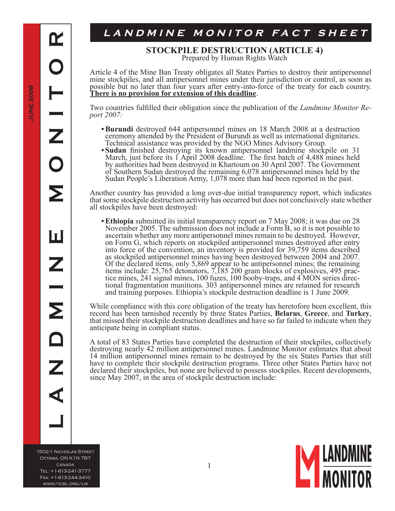# **L A N D M I N E M O N I T O R**  $\mathbf \alpha$ Z Σ Ш Σ

1502-1 Nicholas Street Ottawa, ON K1N 7B7 canada Tel: +1-613-241-3777 Fax: +1-613-244-3410 www/icbl.org/lm

# LANDMINE MONITOR FACT SHEET

# **STOCKPILE DESTRUCTION (ARTICLE 4)**<br>Prepared by Human Rights Watch

Article 4 of the Mine Ban Treaty obligates all States Parties to destroy their antipersonnel mine stockpiles, and all antipersonnel mines under their jurisdiction or control, as soon as possible but no later than four years after entry-into-force of the treaty for each country. **There is no provision for extension of this deadline**.

Two countries fulfilled their obligation since the publication of the *Landmine Monitor Re- port 2007:*

- **Burundi** destroyed 644 antipersonnel mines on 18 March 2008 at a destruction **•** ceremony attended by the President of Burundi as well as international dignitaries. Technical assistance was provided by the NGO Mines Advisory Group.
- **Sudan** finished destroying its known antipersonnel landmine stockpile on 31 March, just before its 1 April 2008 deadline. The first batch of 4,488 mines held **•** by authorities had been destroyed in Khartoum on 30 April 2007. The Government of Southern Sudan destroyed the remaining 6,078 antipersonnel mines held by the Sudan People's Liberation Army, 1,078 more than had been reported in the past.

Another country has provided a long over-due initial transparency report, which indicates that some stockpile destruction activity has occurred but does not conclusively state whether all stockpiles have been destroyed:

**Ethiopia** submitted its initial transparency report on 7 May 2008; it was due on 28 **•**November 2005. The submission does not include a Form B, so it is not possible to ascertain whether any more antipersonnel mines remain to be destroyed. However, on Form G, which reports on stockpiled antipersonnel mines destroyed after entry into force of the convention, an inventory is provided for 39,759 items described as stockpiled antipersonnel mines having been destroyed between 2004 and 2007. Of the declared items, only 5,869 appear to be antipersonnel mines; the remaining items include: 25,765 detonators, 7,185 200 gram blocks of explosives, 495 practice mines, 241 signal mines, 100 fuzes, 100 booby-traps, and 4 MON series directional fragmentation munitions. 303 antipersonnel mines are ret and training purposes. Ethiopia's stockpile destruction deadline is 1 June 2009.

While compliance with this core obligation of the treaty has heretofore been excellent, this record has been tarnished recently by three States Parties, **Belarus**, **Greece**, and **Turkey**, that missed their stockpile destruction deadlines and have so far failed to indicate when they anticipate being in compliant status.

A total of 83 States Parties have completed the destruction of their stockpiles, collectively destroying nearly 42 million antipersonnel mines. Landmine Monitor estimates that about 14 million antipersonnel mines remain to be destroyed by the six States Parties that still have to complete their stockpile destruction programs. Three other States Parties have not declared their stockpiles, but none are believed to possess stockpiles. Recent developments, since May 2007, in the area of stockpile destruction include: